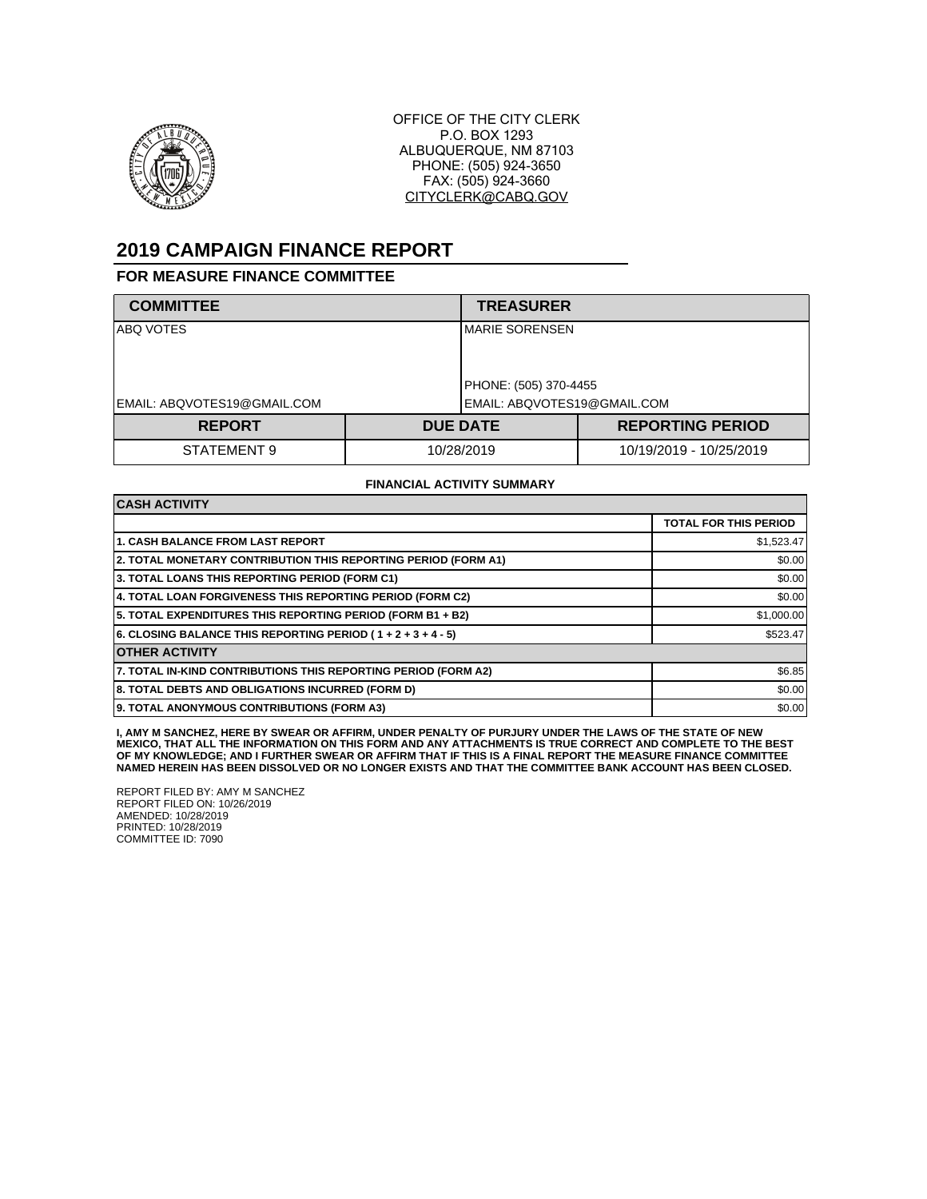

OFFICE OF THE CITY CLERK P.O. BOX 1293 ALBUQUERQUE, NM 87103 PHONE: (505) 924-3650 FAX: (505) 924-3660 CITYCLERK@CABQ.GOV

# **2019 CAMPAIGN FINANCE REPORT**

### **FOR MEASURE FINANCE COMMITTEE**

| <b>COMMITTEE</b>            |            | <b>TREASURER</b>            |                         |  |
|-----------------------------|------------|-----------------------------|-------------------------|--|
| ABQ VOTES                   |            | <b>IMARIE SORENSEN</b>      |                         |  |
|                             |            | PHONE: (505) 370-4455       |                         |  |
| EMAIL: ABQVOTES19@GMAIL.COM |            | EMAIL: ABQVOTES19@GMAIL.COM |                         |  |
| <b>REPORT</b>               |            | <b>DUE DATE</b>             | <b>REPORTING PERIOD</b> |  |
| STATEMENT 9                 | 10/28/2019 |                             | 10/19/2019 - 10/25/2019 |  |

#### **FINANCIAL ACTIVITY SUMMARY**

| <b>CASH ACTIVITY</b>                                           |                              |  |
|----------------------------------------------------------------|------------------------------|--|
|                                                                | <b>TOTAL FOR THIS PERIOD</b> |  |
| <b>1. CASH BALANCE FROM LAST REPORT</b>                        | \$1,523.47                   |  |
| 2. TOTAL MONETARY CONTRIBUTION THIS REPORTING PERIOD (FORM A1) | \$0.00                       |  |
| 3. TOTAL LOANS THIS REPORTING PERIOD (FORM C1)                 | \$0.00                       |  |
| 4. TOTAL LOAN FORGIVENESS THIS REPORTING PERIOD (FORM C2)      | \$0.00                       |  |
| 5. TOTAL EXPENDITURES THIS REPORTING PERIOD (FORM B1 + B2)     | \$1,000.00                   |  |
| 6. CLOSING BALANCE THIS REPORTING PERIOD (1+2+3+4-5)           | \$523.47                     |  |
| <b>OTHER ACTIVITY</b>                                          |                              |  |
| 7. TOTAL IN-KIND CONTRIBUTIONS THIS REPORTING PERIOD (FORM A2) | \$6.85                       |  |
| 8. TOTAL DEBTS AND OBLIGATIONS INCURRED (FORM D)               | \$0.00                       |  |
| 9. TOTAL ANONYMOUS CONTRIBUTIONS (FORM A3)                     | \$0.00                       |  |

**I, AMY M SANCHEZ, HERE BY SWEAR OR AFFIRM, UNDER PENALTY OF PURJURY UNDER THE LAWS OF THE STATE OF NEW MEXICO, THAT ALL THE INFORMATION ON THIS FORM AND ANY ATTACHMENTS IS TRUE CORRECT AND COMPLETE TO THE BEST OF MY KNOWLEDGE; AND I FURTHER SWEAR OR AFFIRM THAT IF THIS IS A FINAL REPORT THE MEASURE FINANCE COMMITTEE NAMED HEREIN HAS BEEN DISSOLVED OR NO LONGER EXISTS AND THAT THE COMMITTEE BANK ACCOUNT HAS BEEN CLOSED.**

REPORT FILED BY: AMY M SANCHEZ REPORT FILED ON: 10/26/2019 AMENDED: 10/28/2019 PRINTED: 10/28/2019 COMMITTEE ID: 7090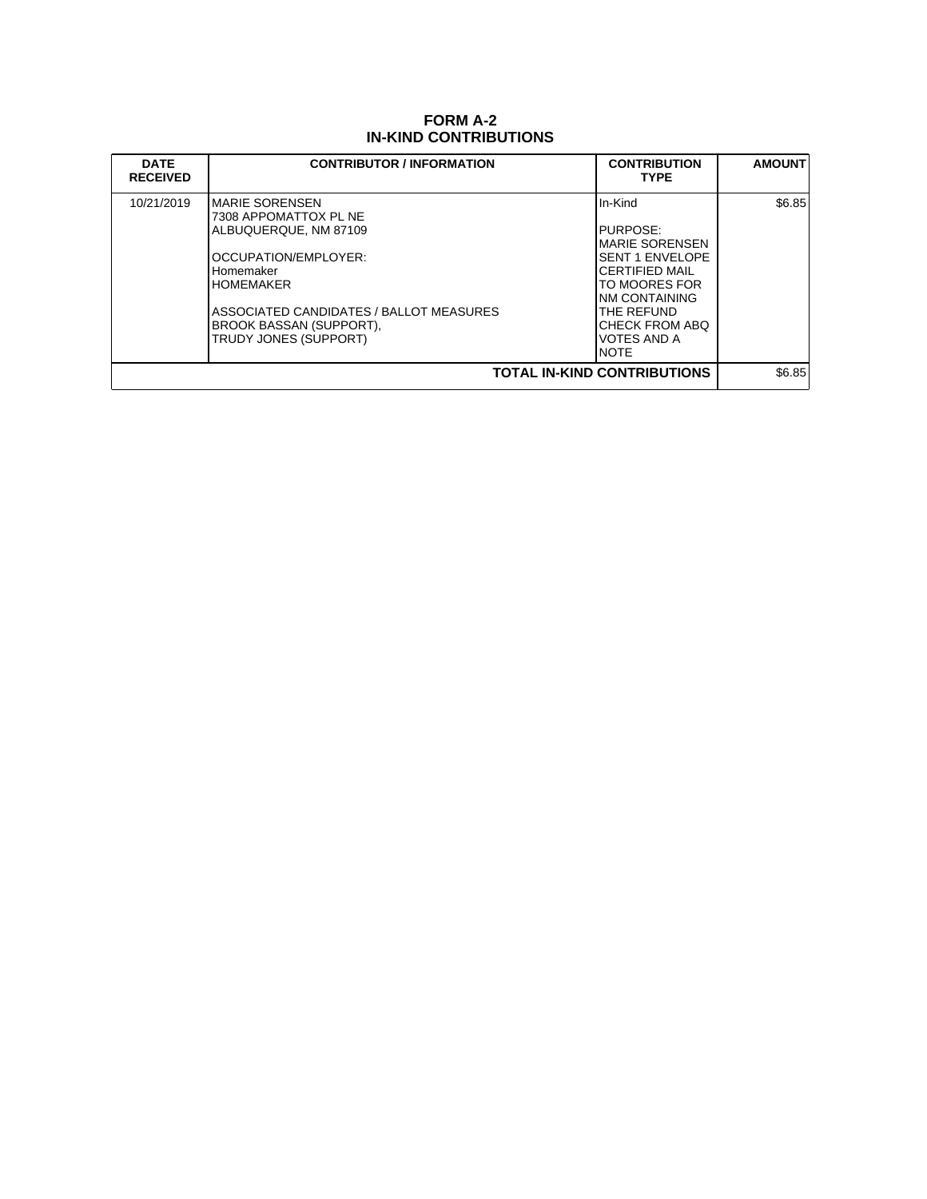## **FORM A-2 IN-KIND CONTRIBUTIONS**

| <b>DATE</b><br><b>RECEIVED</b>     | <b>CONTRIBUTOR / INFORMATION</b>                                                                                                                                                                                                  | <b>CONTRIBUTION</b><br><b>TYPE</b>                                                                                                                                                             | <b>AMOUNT</b> |
|------------------------------------|-----------------------------------------------------------------------------------------------------------------------------------------------------------------------------------------------------------------------------------|------------------------------------------------------------------------------------------------------------------------------------------------------------------------------------------------|---------------|
| 10/21/2019                         | IMARIE SORENSEN<br>7308 APPOMATTOX PL NE<br>ALBUQUERQUE, NM 87109<br>OCCUPATION/EMPLOYER:<br>Homemaker<br><b>IHOMEMAKER</b><br>ASSOCIATED CANDIDATES / BALLOT MEASURES<br><b>BROOK BASSAN (SUPPORT),</b><br>TRUDY JONES (SUPPORT) | IIn-Kind<br><b>IPURPOSE:</b><br>IMARIE SORENSEN<br><b>SENT 1 ENVELOPE</b><br>ICERTIFIED MAIL<br>TO MOORES FOR<br>INM CONTAINING<br>THE REFUND<br>CHECK FROM ABO<br><b>VOTES AND A</b><br>INOTE | \$6.85        |
| <b>TOTAL IN-KIND CONTRIBUTIONS</b> |                                                                                                                                                                                                                                   |                                                                                                                                                                                                |               |